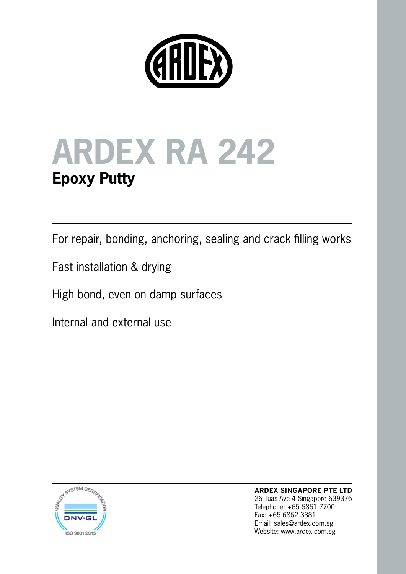



For repair, bonding, anchoring, sealing and crack filling works

Fast installation & drying

High bond, even on damp surfaces

Internal and external use



**ARDEX SINGAPORE PTE LTD** 26 Tuas Ave 4 Singapore 639376 Telephone: +65 6861 7700 Fax: +65 6862 3381 Email: sales@ardex.com.sg Website: www.ardex.com.sg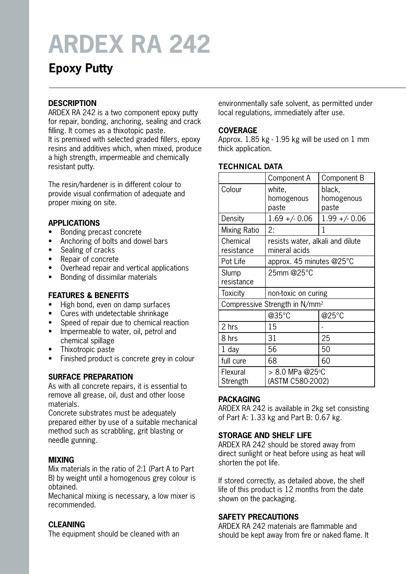# **ARDEX RA 242**

# **Epoxy Putty**

# **DESCRIPTION**

ARDEX RA 242 is a two component epoxy putty for repair, bonding, anchoring, sealing and crack filling. It comes as a thixotopic paste. It is premixed with selected graded fillers, epoxy resins and additives which, when mixed, produce a high strength, impermeable and chemically resistant putty.

The resin/hardener is in different colour to provide visual confirmation of adequate and proper mixing on site.

## **APPLICATIONS**

- Bonding precast concrete
- Anchoring of bolts and dowel bars
- Sealing of cracks
- • Repair of concrete
- • Overhead repair and vertical applications
- • Bonding of dissimilar materials

# **FEATURES & BENEFITS**

- High bond, even on damp surfaces
- Cures with undetectable shrinkage
- Speed of repair due to chemical reaction
- Impermeable to water, oil, petrol and chemical spillage
- Thixotropic paste
- Finished product is concrete grey in colour

# **SURFACE PREPARATION**

As with all concrete repairs, it is essential to remove all grease, oil, dust and other loose materials.

Concrete substrates must be adequately prepared either by use of a suitable mechanical method such as scrabbling, grit blasting or needle gunning.

## **MIXING**

Mix materials in the ratio of 2:1 (Part A to Part B) by weight until a homogenous grey colour is obtained.

Mechanical mixing is necessary, a low mixer is recommended.

## **CLEANING**

The equipment should be cleaned with an

environmentally safe solvent, as permitted under local regulations, immediately after use.

#### **COVERAGE**

Approx. 1.85 kg - 1.95 kg will be used on 1 mm thick application.

#### **TECHNICAL DATA**

|                                           | Component A                                       | Component B                   |
|-------------------------------------------|---------------------------------------------------|-------------------------------|
| Colour                                    | white,<br>homogenous<br>paste                     | black,<br>homogenous<br>paste |
| Density                                   | $1.69 + - 0.06$                                   | $1.99 + - 0.06$               |
| Mixing Ratio                              | 2:                                                | 1                             |
| Chemical<br>resistance                    | resists water, alkali and dilute<br>mineral acids |                               |
| Pot Life                                  | approx. 45 minutes $@25^\circ C$                  |                               |
| Slump<br>resistance                       | 25mm @25°C                                        |                               |
| Toxicity                                  | non-toxic on curing                               |                               |
| Compressive Strength in N/mm <sup>2</sup> |                                                   |                               |
|                                           | @35°C                                             | @25°C                         |
| 2 hrs                                     | 15                                                |                               |
| 8 hrs                                     | 31                                                | 25                            |
| 1 day                                     | 56                                                | 50                            |
| full cure                                 | 68                                                | 60                            |
| Flexural<br>Strength                      | > 8.0 MPa @25°C<br>(ASTM C580-2002)               |                               |

# **PACKAGING**

ARDEX RA 242 is available in 2kg set consisting of Part A: 1.33 kg and Part B: 0.67 kg.

## **STORAGE AND SHELF LIFE**

ARDEX RA 242 should be stored away from direct sunlight or heat before using as heat will shorten the pot life.

If stored correctly, as detailed above, the shelf life of this product is 12 months from the date shown on the packaging.

## **SAFETY PRECAUTIONS**

ARDEX RA 242 materials are flammable and should be kept away from fire or naked flame. It